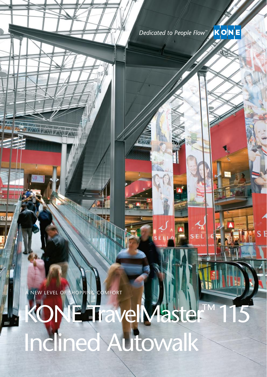

NEW LEVEL OF SHOPPING COMFORT

**ANTANA ARA** 

KONE TravelMaster™115

Inclined Autowalk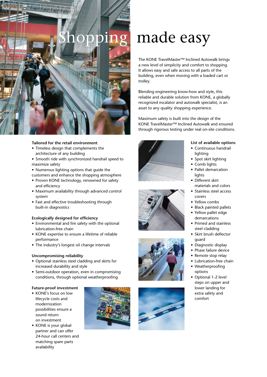

#### **Tailored for the retail environment**

- Timeless design that complements the architecture of any building
- Smooth ride with synchronized handrail speed to maximize safety
- Numerous lighting options that guide the

customers and enhance the shopping atmosphere

- Proven KONE technology, renowned for safety and efficiency
- • Maximum availability through advanced control system
- Fast and effective troubleshooting through built-in diagnostics

#### **Ecologically designed for efficiency**

- Environmental and fire safety with the optional lubrication-free chain
- KONE expertise to ensure a lifetime of reliable performance
- The industry's longest oil change intervals

#### **Uncompromising reliability**

- • Optional stainless steel cladding and skirts for increased durability and style
- Semi-outdoor operation, even in compromising conditions, through optional weatherproofing

## **Future-proof investment**

- KONE's focus on low lifecycle costs and modernization possibilities ensure a sound return on investment
- KONE is your global partner and can offer 24-hour call centers and matching spare parts availability



# made easy

The KONE TravelMaster™ Inclined Autowalk brings a new level of simplicity and comfort to shopping. It allows easy and safe access to all parts of the building, even when moving with a loaded cart or trolley.

Blending engineering know-how and style, this reliable and durable solution from KONE, a globally recognized escalator and autowalk specialist, is an asset to any quality shopping experience.

Maximum safety is built into the design of the KONE TravelMaster™ Inclined Autowalk and ensured through rigorous testing under real on-site conditions.









### **List of available options**

- • Continuous handrail lighting
- • Spot skirt lighting
- Comb lights
	- Pallet demarcation lights
	- Different skirt materials and colors
	- Stainless steel access covers
	- Yellow combs
	- Black painted pallets
- Yellow pallet edge demarcations
- Primed and stainless steel cladding
- Skirt brush deflector guard
- Diagnostic display
- Phase failure device
- Remote stop relay
- Lubrication-free chain
- Weatherproofing options
- Optional 1-2 level steps on upper and lower landing for extra safety and comfort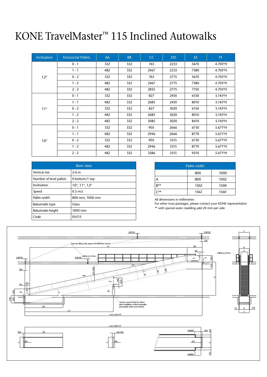# KONE TravelMaster™ 115 Inclined Autowalks

| Inclination  | <b>Horizontal Pallets</b> | AA  | <b>BB</b> | CC   | <b>DD</b> | EE.  | FF.       |
|--------------|---------------------------|-----|-----------|------|-----------|------|-----------|
| $12^{\circ}$ | $0 - 1$                   | 332 | 332       | 763  | 2233      | 5670 | 4.705*H   |
|              | $1 - 1$                   | 482 | 332       | 2467 | 2233      | 7380 | 4.705*H   |
|              | $0 - 2$                   | 332 | 332       | 763  | 2775      | 5670 | 4.705*H   |
|              | $1 - 2$                   | 482 | 332       | 2467 | 2775      | 7380 | 4.705*H   |
|              | $2 - 2$                   | 482 | 332       | 2835 | 2775      | 7750 | 4.705*H   |
| $11^{\circ}$ | $0 - 1$                   | 332 | 332       | 827  | 2430      | 6150 | 5.145*H   |
|              | $1 - 1$                   | 482 | 332       | 2685 | 2430      | 8010 | 5.145*H   |
|              | $0 - 2$                   | 332 | 332       | 827  | 3020      | 6150 | 5.145*H   |
|              | $1 - 2$                   | 482 | 332       | 2685 | 3020      | 8010 | $5.145*H$ |
|              | $2 - 2$                   | 482 | 332       | 3085 | 3020      | 8410 | 5.145*H   |
| $10^{\circ}$ | $0 - 1$                   | 332 | 332       | 905  | 2666      | 6730 | 5.671*H   |
|              | $1 - 1$                   | 482 | 332       | 2946 | 2666      | 8770 | 5.671*H   |
|              | $0 - 2$                   | 332 | 332       | 905  | 3315      | 6730 | 5.671*H   |
|              | $1 - 2$                   | 482 | 332       | 2946 | 3315      | 8770 | 5.671*H   |
|              | $2 - 2$                   | 482 | 332       | 3386 | 3315      | 9210 | 5.671*H   |

| <b>Basic data</b>       |                                            |  |  |  |  |
|-------------------------|--------------------------------------------|--|--|--|--|
| Vertical rise           | $2-6$ m                                    |  |  |  |  |
| Number of level pallets | 0 bottom/1 top                             |  |  |  |  |
| Inclination             | $10^{\circ}$ , $11^{\circ}$ , $12^{\circ}$ |  |  |  |  |
| Speed                   | $0.5 \, \text{m/s}$                        |  |  |  |  |
| Pallet width            | 800 mm, 1000 mm                            |  |  |  |  |
| Balustrade type         | <b>Glass</b>                               |  |  |  |  |
| Balustrade height       | 1000 mm                                    |  |  |  |  |
| Code                    | <b>EN115</b>                               |  |  |  |  |

| Pallet width |      |      |  |  |  |  |
|--------------|------|------|--|--|--|--|
|              | 800  | 1000 |  |  |  |  |
| А            | 800  | 1002 |  |  |  |  |
| $B***$       | 1302 | 1500 |  |  |  |  |
| $***$        | 1362 | 1560 |  |  |  |  |

All dimensions in millimeters

For other truss packages, please contact your KONE representative \*\* with special outer cladding add 20 mm per side